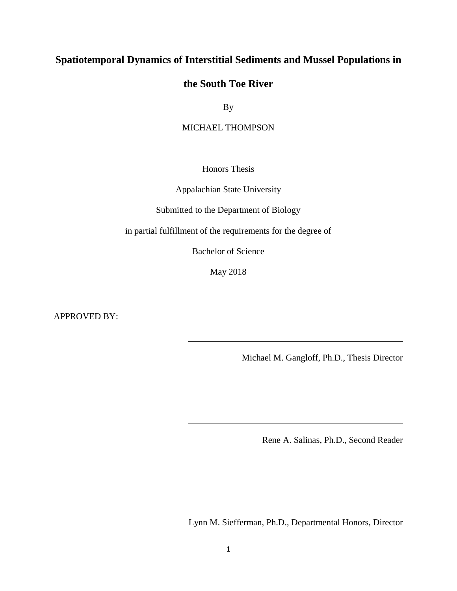# **Spatiotemporal Dynamics of Interstitial Sediments and Mussel Populations in**

## **the South Toe River**

By

MICHAEL THOMPSON

Honors Thesis

Appalachian State University

Submitted to the Department of Biology

in partial fulfillment of the requirements for the degree of

Bachelor of Science

May 2018

APPROVED BY:

Michael M. Gangloff, Ph.D., Thesis Director

Rene A. Salinas, Ph.D., Second Reader

Lynn M. Siefferman, Ph.D., Departmental Honors, Director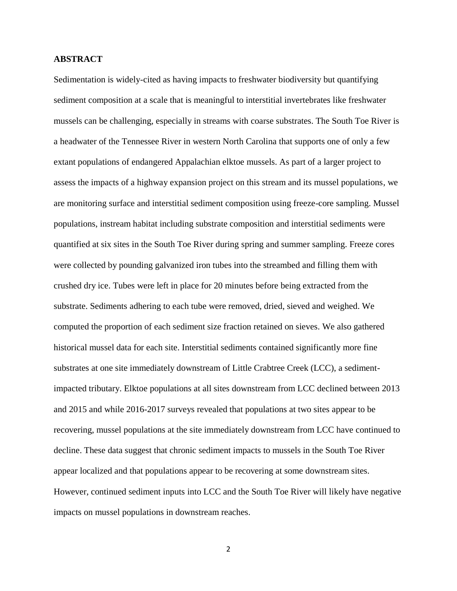## **ABSTRACT**

Sedimentation is widely-cited as having impacts to freshwater biodiversity but quantifying sediment composition at a scale that is meaningful to interstitial invertebrates like freshwater mussels can be challenging, especially in streams with coarse substrates. The South Toe River is a headwater of the Tennessee River in western North Carolina that supports one of only a few extant populations of endangered Appalachian elktoe mussels. As part of a larger project to assess the impacts of a highway expansion project on this stream and its mussel populations, we are monitoring surface and interstitial sediment composition using freeze-core sampling. Mussel populations, instream habitat including substrate composition and interstitial sediments were quantified at six sites in the South Toe River during spring and summer sampling. Freeze cores were collected by pounding galvanized iron tubes into the streambed and filling them with crushed dry ice. Tubes were left in place for 20 minutes before being extracted from the substrate. Sediments adhering to each tube were removed, dried, sieved and weighed. We computed the proportion of each sediment size fraction retained on sieves. We also gathered historical mussel data for each site. Interstitial sediments contained significantly more fine substrates at one site immediately downstream of Little Crabtree Creek (LCC), a sedimentimpacted tributary. Elktoe populations at all sites downstream from LCC declined between 2013 and 2015 and while 2016-2017 surveys revealed that populations at two sites appear to be recovering, mussel populations at the site immediately downstream from LCC have continued to decline. These data suggest that chronic sediment impacts to mussels in the South Toe River appear localized and that populations appear to be recovering at some downstream sites. However, continued sediment inputs into LCC and the South Toe River will likely have negative impacts on mussel populations in downstream reaches.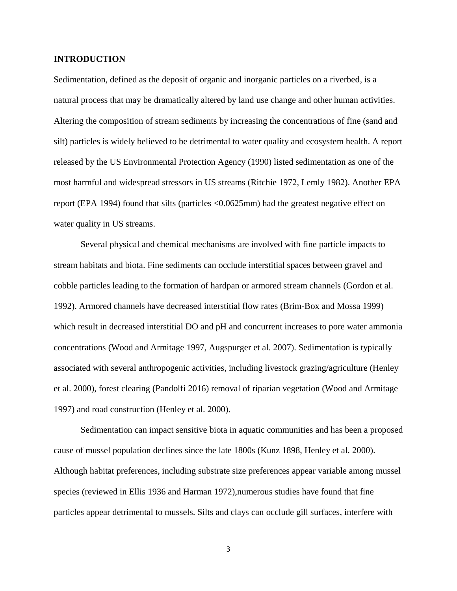## **INTRODUCTION**

Sedimentation, defined as the deposit of organic and inorganic particles on a riverbed, is a natural process that may be dramatically altered by land use change and other human activities. Altering the composition of stream sediments by increasing the concentrations of fine (sand and silt) particles is widely believed to be detrimental to water quality and ecosystem health. A report released by the US Environmental Protection Agency (1990) listed sedimentation as one of the most harmful and widespread stressors in US streams (Ritchie 1972, Lemly 1982). Another EPA report (EPA 1994) found that silts (particles <0.0625mm) had the greatest negative effect on water quality in US streams.

Several physical and chemical mechanisms are involved with fine particle impacts to stream habitats and biota. Fine sediments can occlude interstitial spaces between gravel and cobble particles leading to the formation of hardpan or armored stream channels (Gordon et al. 1992). Armored channels have decreased interstitial flow rates (Brim-Box and Mossa 1999) which result in decreased interstitial DO and  $pH$  and concurrent increases to pore water ammonia concentrations (Wood and Armitage 1997, Augspurger et al. 2007). Sedimentation is typically associated with several anthropogenic activities, including livestock grazing/agriculture (Henley et al. 2000), forest clearing (Pandolfi 2016) removal of riparian vegetation (Wood and Armitage 1997) and road construction (Henley et al. 2000).

Sedimentation can impact sensitive biota in aquatic communities and has been a proposed cause of mussel population declines since the late 1800s (Kunz 1898, Henley et al. 2000). Although habitat preferences, including substrate size preferences appear variable among mussel species (reviewed in Ellis 1936 and Harman 1972),numerous studies have found that fine particles appear detrimental to mussels. Silts and clays can occlude gill surfaces, interfere with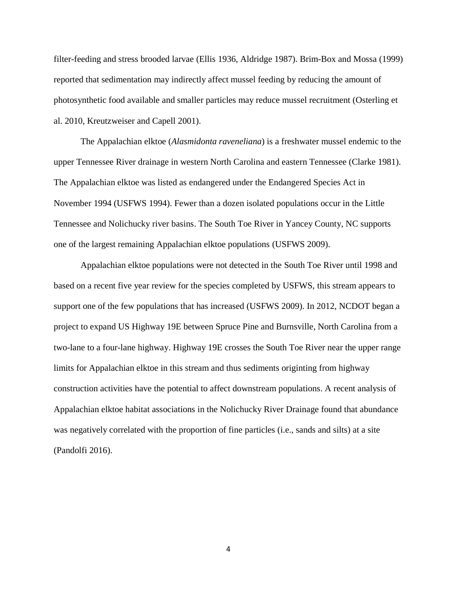filter-feeding and stress brooded larvae (Ellis 1936, Aldridge 1987). Brim-Box and Mossa (1999) reported that sedimentation may indirectly affect mussel feeding by reducing the amount of photosynthetic food available and smaller particles may reduce mussel recruitment (Osterling et al. 2010, Kreutzweiser and Capell 2001).

The Appalachian elktoe (*Alasmidonta raveneliana*) is a freshwater mussel endemic to the upper Tennessee River drainage in western North Carolina and eastern Tennessee (Clarke 1981). The Appalachian elktoe was listed as endangered under the Endangered Species Act in November 1994 (USFWS 1994). Fewer than a dozen isolated populations occur in the Little Tennessee and Nolichucky river basins. The South Toe River in Yancey County, NC supports one of the largest remaining Appalachian elktoe populations (USFWS 2009).

Appalachian elktoe populations were not detected in the South Toe River until 1998 and based on a recent five year review for the species completed by USFWS, this stream appears to support one of the few populations that has increased (USFWS 2009). In 2012, NCDOT began a project to expand US Highway 19E between Spruce Pine and Burnsville, North Carolina from a two-lane to a four-lane highway. Highway 19E crosses the South Toe River near the upper range limits for Appalachian elktoe in this stream and thus sediments originting from highway construction activities have the potential to affect downstream populations. A recent analysis of Appalachian elktoe habitat associations in the Nolichucky River Drainage found that abundance was negatively correlated with the proportion of fine particles (i.e., sands and silts) at a site (Pandolfi 2016).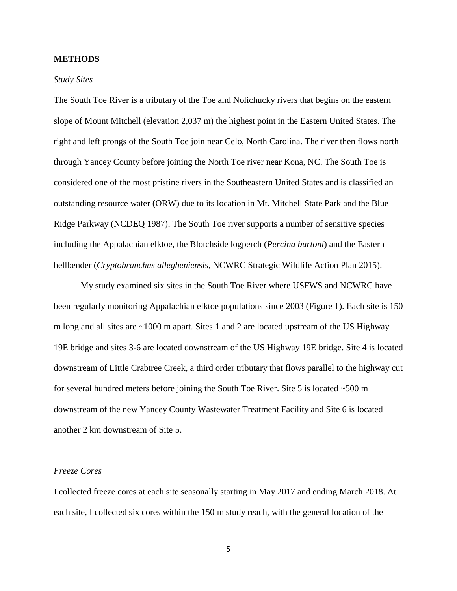## **METHODS**

#### *Study Sites*

The South Toe River is a tributary of the Toe and Nolichucky rivers that begins on the eastern slope of Mount Mitchell (elevation 2,037 m) the highest point in the Eastern United States. The right and left prongs of the South Toe join near Celo, North Carolina. The river then flows north through Yancey County before joining the North Toe river near Kona, NC. The South Toe is considered one of the most pristine rivers in the Southeastern United States and is classified an outstanding resource water (ORW) due to its location in Mt. Mitchell State Park and the Blue Ridge Parkway (NCDEQ 1987). The South Toe river supports a number of sensitive species including the Appalachian elktoe, the Blotchside logperch (*Percina burtoni*) and the Eastern hellbender (*Cryptobranchus allegheniensis*, NCWRC Strategic Wildlife Action Plan 2015).

My study examined six sites in the South Toe River where USFWS and NCWRC have been regularly monitoring Appalachian elktoe populations since 2003 (Figure 1). Each site is 150 m long and all sites are  $\sim$ 1000 m apart. Sites 1 and 2 are located upstream of the US Highway 19E bridge and sites 3-6 are located downstream of the US Highway 19E bridge. Site 4 is located downstream of Little Crabtree Creek, a third order tributary that flows parallel to the highway cut for several hundred meters before joining the South Toe River. Site 5 is located  $\sim$  500 m downstream of the new Yancey County Wastewater Treatment Facility and Site 6 is located another 2 km downstream of Site 5.

#### *Freeze Cores*

I collected freeze cores at each site seasonally starting in May 2017 and ending March 2018. At each site, I collected six cores within the 150 m study reach, with the general location of the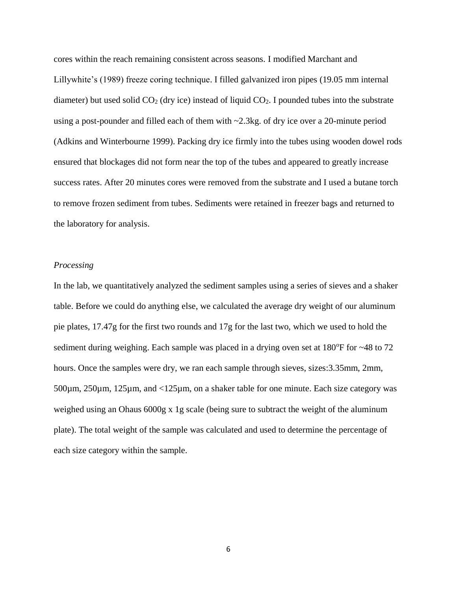cores within the reach remaining consistent across seasons. I modified Marchant and Lillywhite's (1989) freeze coring technique. I filled galvanized iron pipes (19.05 mm internal diameter) but used solid  $CO<sub>2</sub>$  (dry ice) instead of liquid  $CO<sub>2</sub>$ . I pounded tubes into the substrate using a post-pounder and filled each of them with ~2.3kg. of dry ice over a 20-minute period (Adkins and Winterbourne 1999). Packing dry ice firmly into the tubes using wooden dowel rods ensured that blockages did not form near the top of the tubes and appeared to greatly increase success rates. After 20 minutes cores were removed from the substrate and I used a butane torch to remove frozen sediment from tubes. Sediments were retained in freezer bags and returned to the laboratory for analysis.

## *Processing*

In the lab, we quantitatively analyzed the sediment samples using a series of sieves and a shaker table. Before we could do anything else, we calculated the average dry weight of our aluminum pie plates, 17.47g for the first two rounds and 17g for the last two, which we used to hold the sediment during weighing. Each sample was placed in a drying oven set at  $180^{\circ}$ F for  $\sim$ 48 to 72 hours. Once the samples were dry, we ran each sample through sieves, sizes:3.35mm, 2mm, 500µm, 250µm, 125µm, and <125µm, on a shaker table for one minute. Each size category was weighed using an Ohaus 6000g x 1g scale (being sure to subtract the weight of the aluminum plate). The total weight of the sample was calculated and used to determine the percentage of each size category within the sample.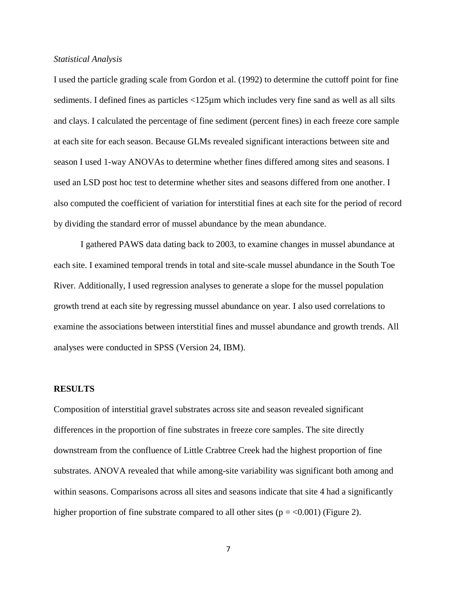#### *Statistical Analysis*

I used the particle grading scale from Gordon et al. (1992) to determine the cuttoff point for fine sediments. I defined fines as particles <125µm which includes very fine sand as well as all silts and clays. I calculated the percentage of fine sediment (percent fines) in each freeze core sample at each site for each season. Because GLMs revealed significant interactions between site and season I used 1-way ANOVAs to determine whether fines differed among sites and seasons. I used an LSD post hoc test to determine whether sites and seasons differed from one another. I also computed the coefficient of variation for interstitial fines at each site for the period of record by dividing the standard error of mussel abundance by the mean abundance.

I gathered PAWS data dating back to 2003, to examine changes in mussel abundance at each site. I examined temporal trends in total and site-scale mussel abundance in the South Toe River. Additionally, I used regression analyses to generate a slope for the mussel population growth trend at each site by regressing mussel abundance on year. I also used correlations to examine the associations between interstitial fines and mussel abundance and growth trends. All analyses were conducted in SPSS (Version 24, IBM).

#### **RESULTS**

Composition of interstitial gravel substrates across site and season revealed significant differences in the proportion of fine substrates in freeze core samples. The site directly downstream from the confluence of Little Crabtree Creek had the highest proportion of fine substrates. ANOVA revealed that while among-site variability was significant both among and within seasons. Comparisons across all sites and seasons indicate that site 4 had a significantly higher proportion of fine substrate compared to all other sites ( $p = <0.001$ ) (Figure 2).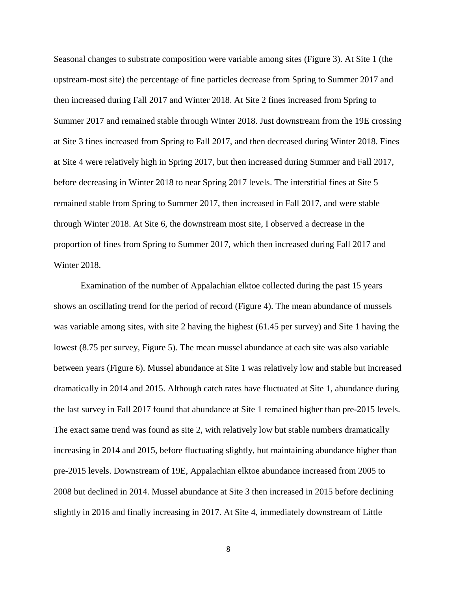Seasonal changes to substrate composition were variable among sites (Figure 3). At Site 1 (the upstream-most site) the percentage of fine particles decrease from Spring to Summer 2017 and then increased during Fall 2017 and Winter 2018. At Site 2 fines increased from Spring to Summer 2017 and remained stable through Winter 2018. Just downstream from the 19E crossing at Site 3 fines increased from Spring to Fall 2017, and then decreased during Winter 2018. Fines at Site 4 were relatively high in Spring 2017, but then increased during Summer and Fall 2017, before decreasing in Winter 2018 to near Spring 2017 levels. The interstitial fines at Site 5 remained stable from Spring to Summer 2017, then increased in Fall 2017, and were stable through Winter 2018. At Site 6, the downstream most site, I observed a decrease in the proportion of fines from Spring to Summer 2017, which then increased during Fall 2017 and Winter 2018.

Examination of the number of Appalachian elktoe collected during the past 15 years shows an oscillating trend for the period of record (Figure 4). The mean abundance of mussels was variable among sites, with site 2 having the highest (61.45 per survey) and Site 1 having the lowest (8.75 per survey, Figure 5). The mean mussel abundance at each site was also variable between years (Figure 6). Mussel abundance at Site 1 was relatively low and stable but increased dramatically in 2014 and 2015. Although catch rates have fluctuated at Site 1, abundance during the last survey in Fall 2017 found that abundance at Site 1 remained higher than pre-2015 levels. The exact same trend was found as site 2, with relatively low but stable numbers dramatically increasing in 2014 and 2015, before fluctuating slightly, but maintaining abundance higher than pre-2015 levels. Downstream of 19E, Appalachian elktoe abundance increased from 2005 to 2008 but declined in 2014. Mussel abundance at Site 3 then increased in 2015 before declining slightly in 2016 and finally increasing in 2017. At Site 4, immediately downstream of Little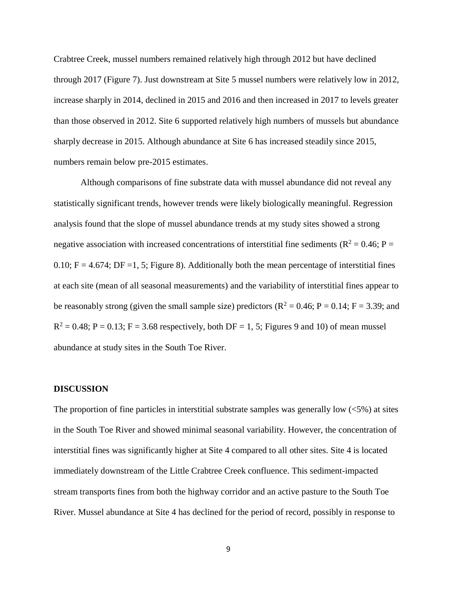Crabtree Creek, mussel numbers remained relatively high through 2012 but have declined through 2017 (Figure 7). Just downstream at Site 5 mussel numbers were relatively low in 2012, increase sharply in 2014, declined in 2015 and 2016 and then increased in 2017 to levels greater than those observed in 2012. Site 6 supported relatively high numbers of mussels but abundance sharply decrease in 2015. Although abundance at Site 6 has increased steadily since 2015, numbers remain below pre-2015 estimates.

Although comparisons of fine substrate data with mussel abundance did not reveal any statistically significant trends, however trends were likely biologically meaningful. Regression analysis found that the slope of mussel abundance trends at my study sites showed a strong negative association with increased concentrations of interstitial fine sediments ( $\mathbb{R}^2 = 0.46$ ; P = 0.10;  $F = 4.674$ ;  $DF = 1, 5$ ; Figure 8). Additionally both the mean percentage of interstitial fines at each site (mean of all seasonal measurements) and the variability of interstitial fines appear to be reasonably strong (given the small sample size) predictors ( $R^2 = 0.46$ ;  $P = 0.14$ ;  $F = 3.39$ ; and  $R^2 = 0.48$ ; P = 0.13; F = 3.68 respectively, both DF = 1, 5; Figures 9 and 10) of mean mussel abundance at study sites in the South Toe River.

#### **DISCUSSION**

The proportion of fine particles in interstitial substrate samples was generally low  $\left\langle \langle 5\% \rangle \right\rangle$  at sites in the South Toe River and showed minimal seasonal variability. However, the concentration of interstitial fines was significantly higher at Site 4 compared to all other sites. Site 4 is located immediately downstream of the Little Crabtree Creek confluence. This sediment-impacted stream transports fines from both the highway corridor and an active pasture to the South Toe River. Mussel abundance at Site 4 has declined for the period of record, possibly in response to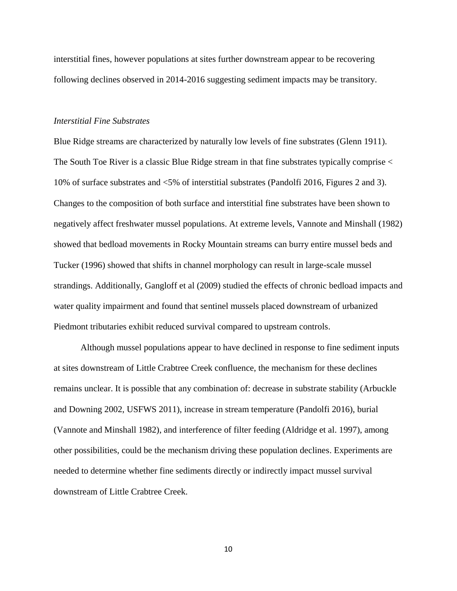interstitial fines, however populations at sites further downstream appear to be recovering following declines observed in 2014-2016 suggesting sediment impacts may be transitory.

## *Interstitial Fine Substrates*

Blue Ridge streams are characterized by naturally low levels of fine substrates (Glenn 1911). The South Toe River is a classic Blue Ridge stream in that fine substrates typically comprise < 10% of surface substrates and <5% of interstitial substrates (Pandolfi 2016, Figures 2 and 3). Changes to the composition of both surface and interstitial fine substrates have been shown to negatively affect freshwater mussel populations. At extreme levels, Vannote and Minshall (1982) showed that bedload movements in Rocky Mountain streams can burry entire mussel beds and Tucker (1996) showed that shifts in channel morphology can result in large-scale mussel strandings. Additionally, Gangloff et al (2009) studied the effects of chronic bedload impacts and water quality impairment and found that sentinel mussels placed downstream of urbanized Piedmont tributaries exhibit reduced survival compared to upstream controls.

Although mussel populations appear to have declined in response to fine sediment inputs at sites downstream of Little Crabtree Creek confluence, the mechanism for these declines remains unclear. It is possible that any combination of: decrease in substrate stability (Arbuckle and Downing 2002, USFWS 2011), increase in stream temperature (Pandolfi 2016), burial (Vannote and Minshall 1982), and interference of filter feeding (Aldridge et al. 1997), among other possibilities, could be the mechanism driving these population declines. Experiments are needed to determine whether fine sediments directly or indirectly impact mussel survival downstream of Little Crabtree Creek.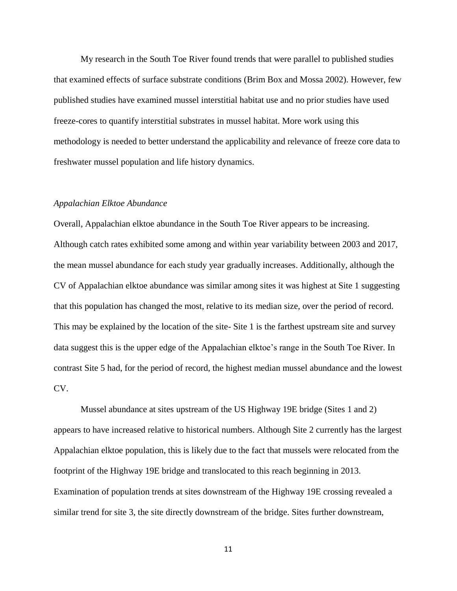My research in the South Toe River found trends that were parallel to published studies that examined effects of surface substrate conditions (Brim Box and Mossa 2002). However, few published studies have examined mussel interstitial habitat use and no prior studies have used freeze-cores to quantify interstitial substrates in mussel habitat. More work using this methodology is needed to better understand the applicability and relevance of freeze core data to freshwater mussel population and life history dynamics.

#### *Appalachian Elktoe Abundance*

Overall, Appalachian elktoe abundance in the South Toe River appears to be increasing. Although catch rates exhibited some among and within year variability between 2003 and 2017, the mean mussel abundance for each study year gradually increases. Additionally, although the CV of Appalachian elktoe abundance was similar among sites it was highest at Site 1 suggesting that this population has changed the most, relative to its median size, over the period of record. This may be explained by the location of the site- Site 1 is the farthest upstream site and survey data suggest this is the upper edge of the Appalachian elktoe's range in the South Toe River. In contrast Site 5 had, for the period of record, the highest median mussel abundance and the lowest CV.

Mussel abundance at sites upstream of the US Highway 19E bridge (Sites 1 and 2) appears to have increased relative to historical numbers. Although Site 2 currently has the largest Appalachian elktoe population, this is likely due to the fact that mussels were relocated from the footprint of the Highway 19E bridge and translocated to this reach beginning in 2013. Examination of population trends at sites downstream of the Highway 19E crossing revealed a similar trend for site 3, the site directly downstream of the bridge. Sites further downstream,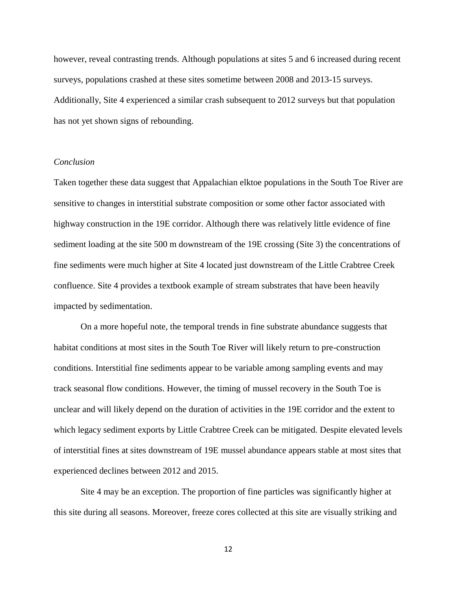however, reveal contrasting trends. Although populations at sites 5 and 6 increased during recent surveys, populations crashed at these sites sometime between 2008 and 2013-15 surveys. Additionally, Site 4 experienced a similar crash subsequent to 2012 surveys but that population has not yet shown signs of rebounding.

## *Conclusion*

Taken together these data suggest that Appalachian elktoe populations in the South Toe River are sensitive to changes in interstitial substrate composition or some other factor associated with highway construction in the 19E corridor. Although there was relatively little evidence of fine sediment loading at the site 500 m downstream of the 19E crossing (Site 3) the concentrations of fine sediments were much higher at Site 4 located just downstream of the Little Crabtree Creek confluence. Site 4 provides a textbook example of stream substrates that have been heavily impacted by sedimentation.

On a more hopeful note, the temporal trends in fine substrate abundance suggests that habitat conditions at most sites in the South Toe River will likely return to pre-construction conditions. Interstitial fine sediments appear to be variable among sampling events and may track seasonal flow conditions. However, the timing of mussel recovery in the South Toe is unclear and will likely depend on the duration of activities in the 19E corridor and the extent to which legacy sediment exports by Little Crabtree Creek can be mitigated. Despite elevated levels of interstitial fines at sites downstream of 19E mussel abundance appears stable at most sites that experienced declines between 2012 and 2015.

Site 4 may be an exception. The proportion of fine particles was significantly higher at this site during all seasons. Moreover, freeze cores collected at this site are visually striking and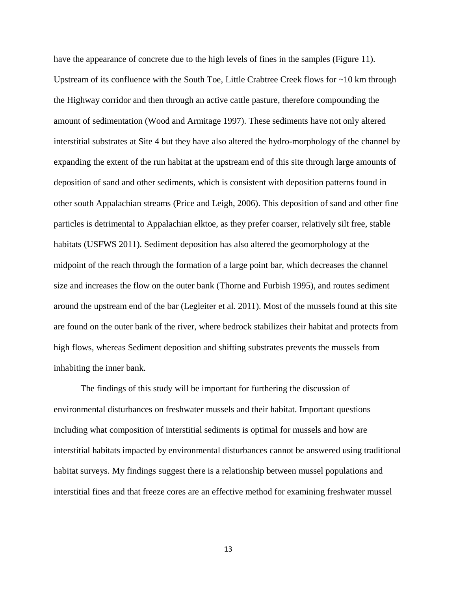have the appearance of concrete due to the high levels of fines in the samples (Figure 11). Upstream of its confluence with the South Toe, Little Crabtree Creek flows for ~10 km through the Highway corridor and then through an active cattle pasture, therefore compounding the amount of sedimentation (Wood and Armitage 1997). These sediments have not only altered interstitial substrates at Site 4 but they have also altered the hydro-morphology of the channel by expanding the extent of the run habitat at the upstream end of this site through large amounts of deposition of sand and other sediments, which is consistent with deposition patterns found in other south Appalachian streams (Price and Leigh, 2006). This deposition of sand and other fine particles is detrimental to Appalachian elktoe, as they prefer coarser, relatively silt free, stable habitats (USFWS 2011). Sediment deposition has also altered the geomorphology at the midpoint of the reach through the formation of a large point bar, which decreases the channel size and increases the flow on the outer bank (Thorne and Furbish 1995), and routes sediment around the upstream end of the bar (Legleiter et al. 2011). Most of the mussels found at this site are found on the outer bank of the river, where bedrock stabilizes their habitat and protects from high flows, whereas Sediment deposition and shifting substrates prevents the mussels from inhabiting the inner bank.

The findings of this study will be important for furthering the discussion of environmental disturbances on freshwater mussels and their habitat. Important questions including what composition of interstitial sediments is optimal for mussels and how are interstitial habitats impacted by environmental disturbances cannot be answered using traditional habitat surveys. My findings suggest there is a relationship between mussel populations and interstitial fines and that freeze cores are an effective method for examining freshwater mussel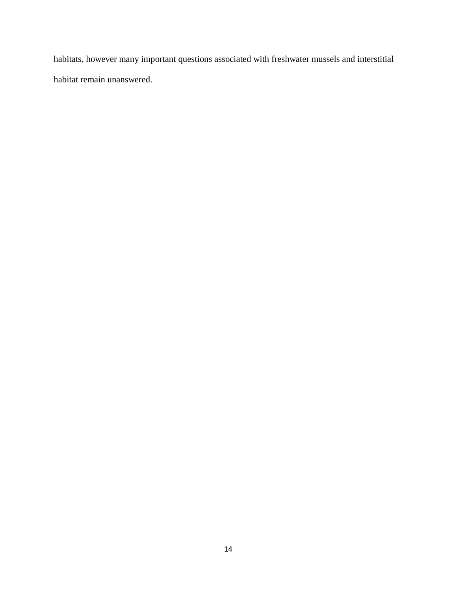habitats, however many important questions associated with freshwater mussels and interstitial habitat remain unanswered.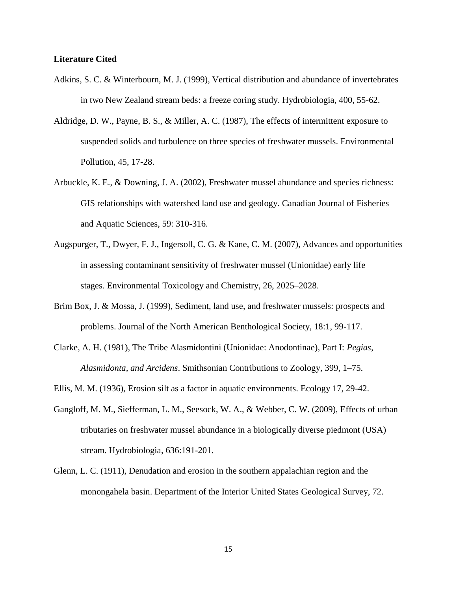## **Literature Cited**

- Adkins, S. C. & Winterbourn, M. J. (1999), Vertical distribution and abundance of invertebrates in two New Zealand stream beds: a freeze coring study. Hydrobiologia, 400, 55-62.
- Aldridge, D. W., Payne, B. S., & Miller, A. C. (1987), The effects of intermittent exposure to suspended solids and turbulence on three species of freshwater mussels. Environmental Pollution, 45, 17-28.
- Arbuckle, K. E., & Downing, J. A. (2002), Freshwater mussel abundance and species richness: GIS relationships with watershed land use and geology. Canadian Journal of Fisheries and Aquatic Sciences, 59: 310-316.
- Augspurger, T., Dwyer, F. J., Ingersoll, C. G. & Kane, C. M. (2007), Advances and opportunities in assessing contaminant sensitivity of freshwater mussel (Unionidae) early life stages. Environmental Toxicology and Chemistry, 26, 2025–2028.
- Brim Box, J. & Mossa, J. (1999), Sediment, land use, and freshwater mussels: prospects and problems. Journal of the North American Benthological Society, 18:1, 99-117.
- Clarke, A. H. (1981), The Tribe Alasmidontini (Unionidae: Anodontinae), Part I: *Pegias, Alasmidonta, and Arcidens*. Smithsonian Contributions to Zoology, 399, 1–75.
- Ellis, M. M. (1936), Erosion silt as a factor in aquatic environments. Ecology 17, 29-42.
- Gangloff, M. M., Siefferman, L. M., Seesock, W. A., & Webber, C. W. (2009), Effects of urban tributaries on freshwater mussel abundance in a biologically diverse piedmont (USA) stream. Hydrobiologia, 636:191-201.
- Glenn, L. C. (1911), Denudation and erosion in the southern appalachian region and the monongahela basin. Department of the Interior United States Geological Survey, 72.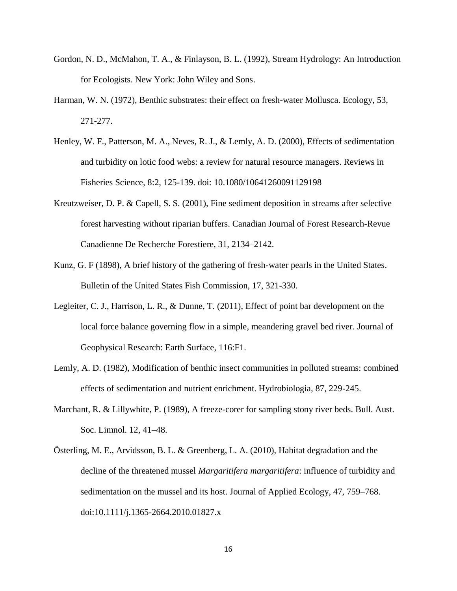- Gordon, N. D., McMahon, T. A., & Finlayson, B. L. (1992), Stream Hydrology: An Introduction for Ecologists. New York: John Wiley and Sons.
- Harman, W. N. (1972), Benthic substrates: their effect on fresh-water Mollusca. Ecology, 53, 271-277.
- Henley, W. F., Patterson, M. A., Neves, R. J., & Lemly, A. D. (2000), Effects of sedimentation and turbidity on lotic food webs: a review for natural resource managers. Reviews in Fisheries Science, 8:2, 125-139. doi: 10.1080/10641260091129198
- Kreutzweiser, D. P. & Capell, S. S. (2001), Fine sediment deposition in streams after selective forest harvesting without riparian buffers. Canadian Journal of Forest Research-Revue Canadienne De Recherche Forestiere, 31, 2134–2142.
- Kunz, G. F (1898), A brief history of the gathering of fresh-water pearls in the United States. Bulletin of the United States Fish Commission, 17, 321-330.
- Legleiter, C. J., Harrison, L. R., & Dunne, T. (2011), Effect of point bar development on the local force balance governing flow in a simple, meandering gravel bed river. Journal of Geophysical Research: Earth Surface, 116:F1.
- Lemly, A. D. (1982), Modification of benthic insect communities in polluted streams: combined effects of sedimentation and nutrient enrichment. Hydrobiologia, 87, 229-245.
- Marchant, R. & Lillywhite, P. (1989), A freeze-corer for sampling stony river beds. Bull. Aust. Soc. Limnol. 12, 41–48.
- Österling, M. E., Arvidsson, B. L. & Greenberg, L. A. (2010), Habitat degradation and the decline of the threatened mussel *Margaritifera margaritifera*: influence of turbidity and sedimentation on the mussel and its host. Journal of Applied Ecology, 47, 759–768. doi:10.1111/j.1365-2664.2010.01827.x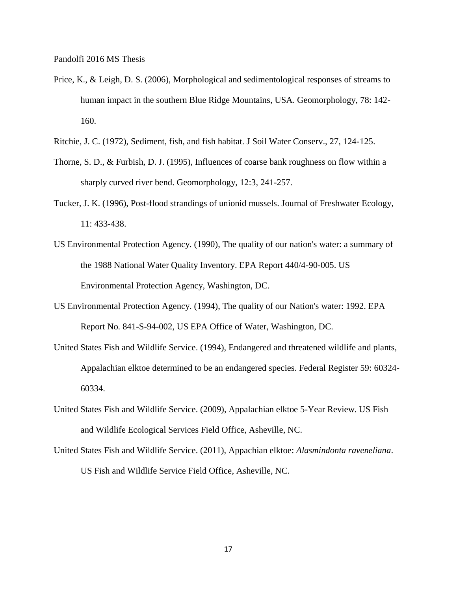Pandolfi 2016 MS Thesis

- Price, K., & Leigh, D. S. (2006), Morphological and sedimentological responses of streams to human impact in the southern Blue Ridge Mountains, USA. Geomorphology, 78: 142- 160.
- Ritchie, J. C. (1972), Sediment, fish, and fish habitat. J Soil Water Conserv., 27, 124-125.
- Thorne, S. D., & Furbish, D. J. (1995), Influences of coarse bank roughness on flow within a sharply curved river bend. Geomorphology, 12:3, 241-257.
- Tucker, J. K. (1996), Post-flood strandings of unionid mussels. Journal of Freshwater Ecology, 11: 433-438.
- US Environmental Protection Agency. (1990), The quality of our nation's water: a summary of the 1988 National Water Quality Inventory. EPA Report 440/4-90-005. US Environmental Protection Agency, Washington, DC.
- US Environmental Protection Agency. (1994), The quality of our Nation's water: 1992. EPA Report No. 841-S-94-002, US EPA Office of Water, Washington, DC.
- United States Fish and Wildlife Service. (1994), Endangered and threatened wildlife and plants, Appalachian elktoe determined to be an endangered species. Federal Register 59: 60324- 60334.
- United States Fish and Wildlife Service. (2009), Appalachian elktoe 5-Year Review. US Fish and Wildlife Ecological Services Field Office, Asheville, NC.
- United States Fish and Wildlife Service. (2011), Appachian elktoe: *Alasmindonta raveneliana*. US Fish and Wildlife Service Field Office, Asheville, NC.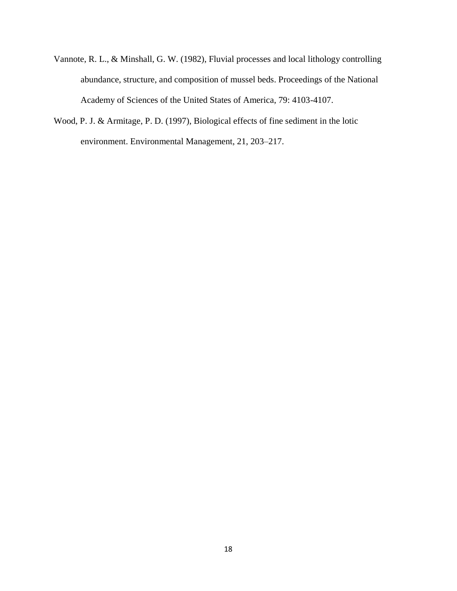- Vannote, R. L., & Minshall, G. W. (1982), Fluvial processes and local lithology controlling abundance, structure, and composition of mussel beds. Proceedings of the National Academy of Sciences of the United States of America, 79: 4103-4107.
- Wood, P. J. & Armitage, P. D. (1997), Biological effects of fine sediment in the lotic environment. Environmental Management, 21, 203–217.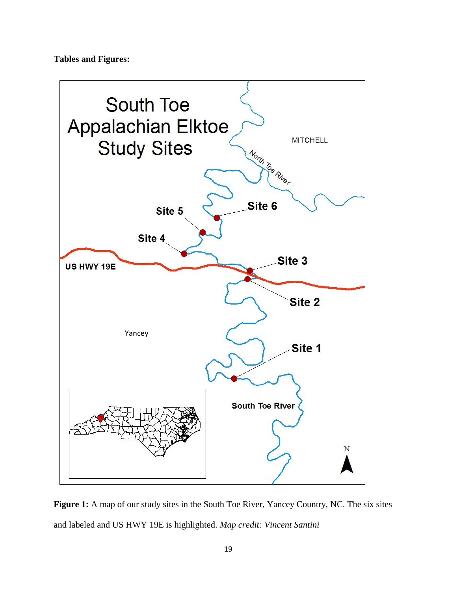## **Tables and Figures:**



Figure 1: A map of our study sites in the South Toe River, Yancey Country, NC. The six sites and labeled and US HWY 19E is highlighted. *Map credit: Vincent Santini*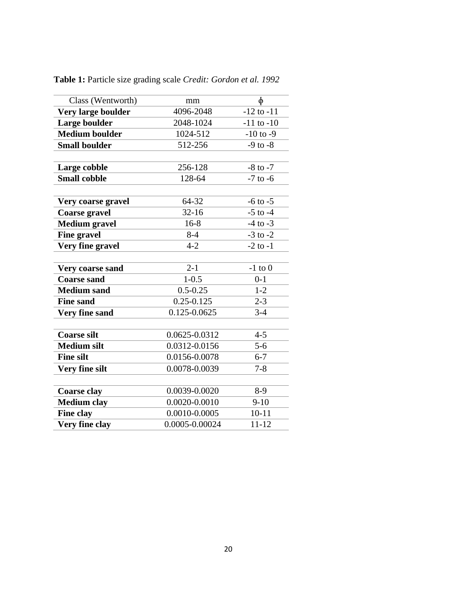| Class (Wentworth)     | mm             | $\Phi$         |
|-----------------------|----------------|----------------|
| Very large boulder    | 4096-2048      | $-12$ to $-11$ |
| Large boulder         | 2048-1024      | $-11$ to $-10$ |
| <b>Medium boulder</b> | 1024-512       | $-10$ to $-9$  |
| <b>Small boulder</b>  | 512-256        | $-9$ to $-8$   |
|                       |                |                |
| Large cobble          | 256-128        | $-8$ to $-7$   |
| <b>Small cobble</b>   | 128-64         | $-7$ to $-6$   |
|                       |                |                |
| Very coarse gravel    | 64-32          | $-6$ to $-5$   |
| <b>Coarse gravel</b>  | $32 - 16$      | $-5$ to $-4$   |
| <b>Medium gravel</b>  | $16-8$         | $-4$ to $-3$   |
| <b>Fine gravel</b>    | $8 - 4$        | $-3$ to $-2$   |
| Very fine gravel      | $4 - 2$        | $-2$ to $-1$   |
|                       |                |                |
| Very coarse sand      | $2 - 1$        | $-1$ to $0$    |
| <b>Coarse sand</b>    | $1 - 0.5$      | $0-1$          |
| <b>Medium sand</b>    | $0.5 - 0.25$   | $1 - 2$        |
| <b>Fine sand</b>      | $0.25 - 0.125$ | $2 - 3$        |
| <b>Very fine sand</b> | 0.125-0.0625   | $3-4$          |
|                       |                |                |
| <b>Coarse silt</b>    | 0.0625-0.0312  | $4 - 5$        |
| <b>Medium silt</b>    | 0.0312-0.0156  | $5 - 6$        |
| <b>Fine silt</b>      | 0.0156-0.0078  | $6 - 7$        |
| Very fine silt        | 0.0078-0.0039  | $7 - 8$        |
|                       |                |                |
| <b>Coarse clay</b>    | 0.0039-0.0020  | $8-9$          |
| <b>Medium clay</b>    | 0.0020-0.0010  | $9 - 10$       |
| <b>Fine clay</b>      | 0.0010-0.0005  | $10 - 11$      |
| Very fine clay        | 0.0005-0.00024 | $11 - 12$      |

**Table 1:** Particle size grading scale *Credit: Gordon et al. 1992*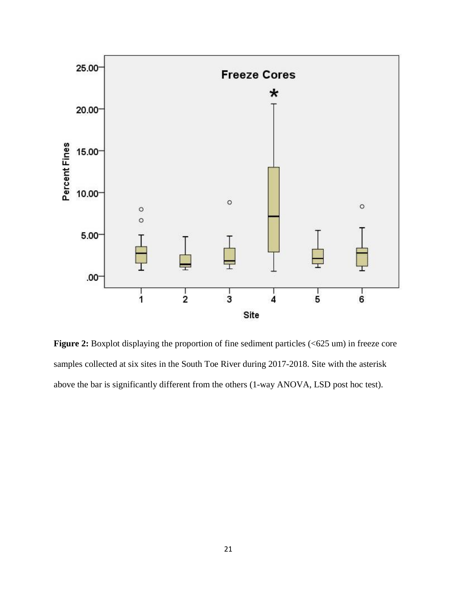

Figure 2: Boxplot displaying the proportion of fine sediment particles (<625 um) in freeze core samples collected at six sites in the South Toe River during 2017-2018. Site with the asterisk above the bar is significantly different from the others (1-way ANOVA, LSD post hoc test).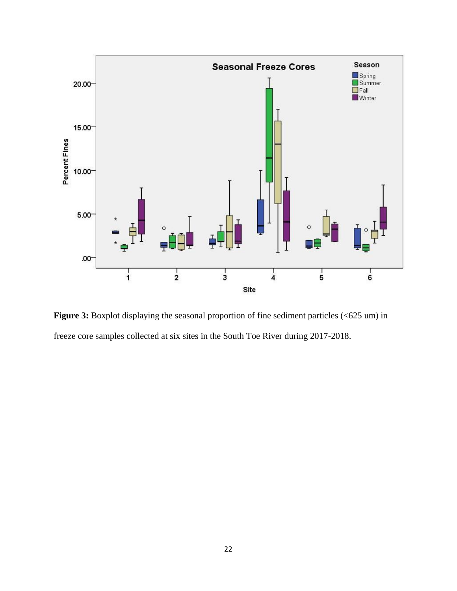

**Figure 3:** Boxplot displaying the seasonal proportion of fine sediment particles (<625 um) in freeze core samples collected at six sites in the South Toe River during 2017-2018.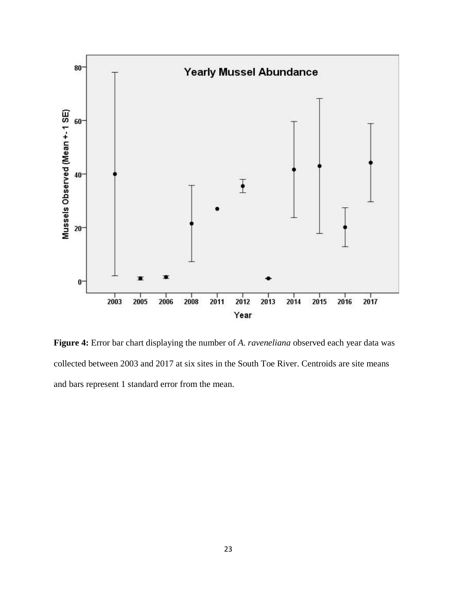

**Figure 4:** Error bar chart displaying the number of *A. raveneliana* observed each year data was collected between 2003 and 2017 at six sites in the South Toe River. Centroids are site means and bars represent 1 standard error from the mean.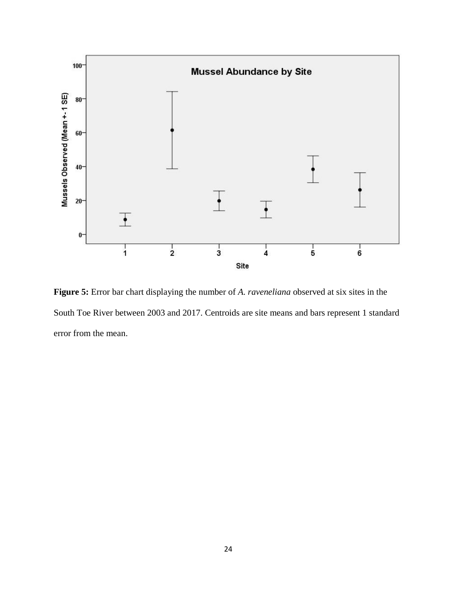

**Figure 5:** Error bar chart displaying the number of *A. raveneliana* observed at six sites in the South Toe River between 2003 and 2017. Centroids are site means and bars represent 1 standard error from the mean.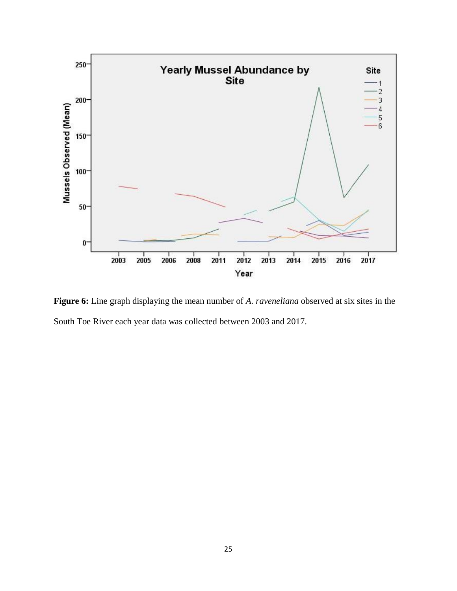

**Figure 6:** Line graph displaying the mean number of *A. raveneliana* observed at six sites in the South Toe River each year data was collected between 2003 and 2017.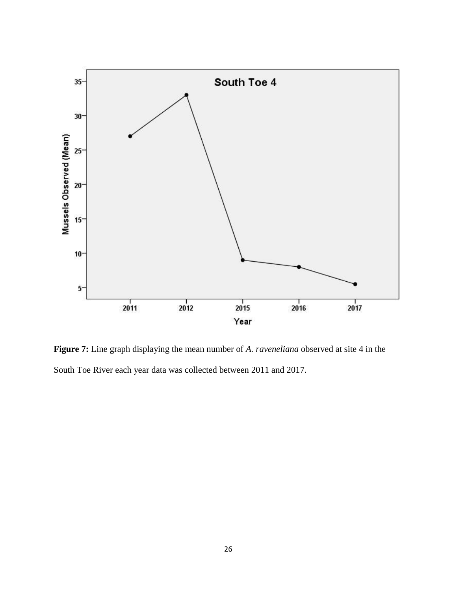

**Figure 7:** Line graph displaying the mean number of *A. raveneliana* observed at site 4 in the South Toe River each year data was collected between 2011 and 2017.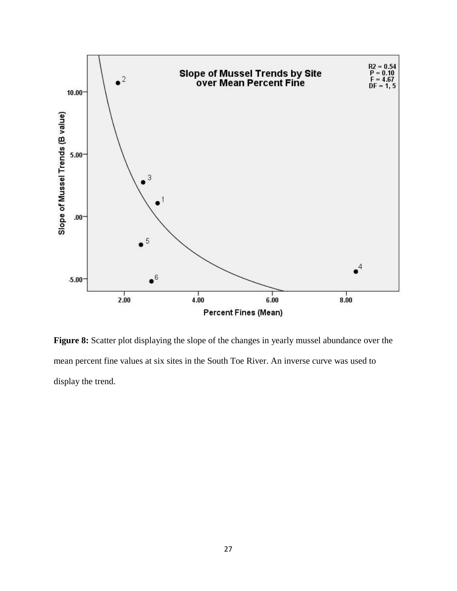

Figure 8: Scatter plot displaying the slope of the changes in yearly mussel abundance over the mean percent fine values at six sites in the South Toe River. An inverse curve was used to display the trend.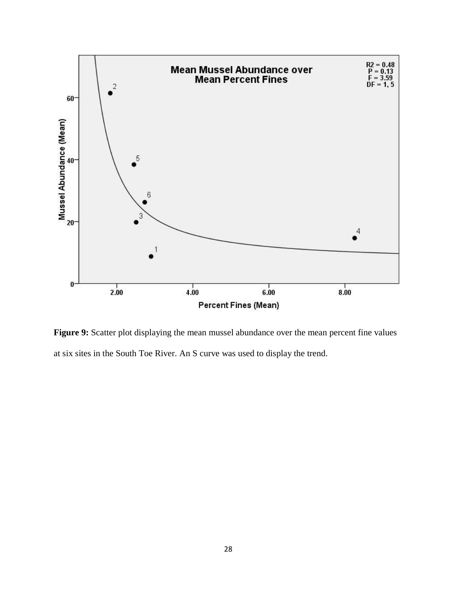

**Figure 9:** Scatter plot displaying the mean mussel abundance over the mean percent fine values at six sites in the South Toe River. An S curve was used to display the trend.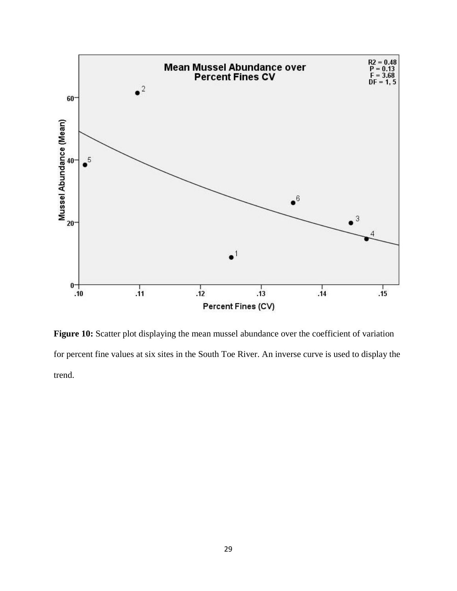

Figure 10: Scatter plot displaying the mean mussel abundance over the coefficient of variation for percent fine values at six sites in the South Toe River. An inverse curve is used to display the trend.